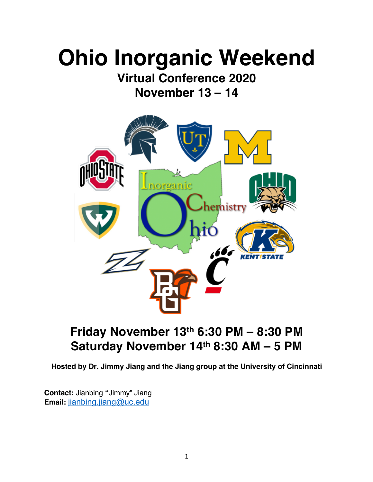# **Ohio Inorganic Weekend**

**Virtual Conference 2020 November 13 – 14**



# **Friday November 13th 6:30 PM – 8:30 PM Saturday November 14th 8:30 AM – 5 PM**

**Hosted by Dr. Jimmy Jiang and the Jiang group at the University of Cincinnati**

**Contact:** Jianbing **"**Jimmy" Jiang **Email:** jianbing.jiang@uc.edu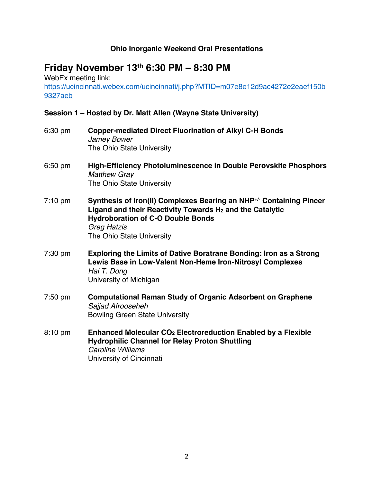#### **Ohio Inorganic Weekend Oral Presentations**

### **Friday November 13th 6:30 PM – 8:30 PM**

WebEx meeting link: https://ucincinnati.webex.com/ucincinnati/j.php?MTID=m07e8e12d9ac4272e2eaef150b 9327aeb

#### **Session 1 – Hosted by Dr. Matt Allen (Wayne State University)**

- 6:30 pm **Copper-mediated Direct Fluorination of Alkyl C-H Bonds** *Jamey Bower* The Ohio State University
- 6:50 pm **High-Efficiency Photoluminescence in Double Perovskite Phosphors** *Matthew Gray* The Ohio State University
- 7:10 pm **Synthesis of Iron(II) Complexes Bearing an NHP+/- Containing Pincer Ligand and their Reactivity Towards H2 and the Catalytic Hydroboration of C-O Double Bonds** *Greg Hatzis* The Ohio State University
- 7:30 pm **Exploring the Limits of Dative Boratrane Bonding: Iron as a Strong Lewis Base in Low-Valent Non-Heme Iron-Nitrosyl Complexes** *Hai T. Dong* University of Michigan
- 7:50 pm **Computational Raman Study of Organic Adsorbent on Graphene** *Sajjad Afrooseheh* Bowling Green State University
- 8:10 pm **Enhanced Molecular CO2 Electroreduction Enabled by a Flexible Hydrophilic Channel for Relay Proton Shuttling** *Caroline Williams* University of Cincinnati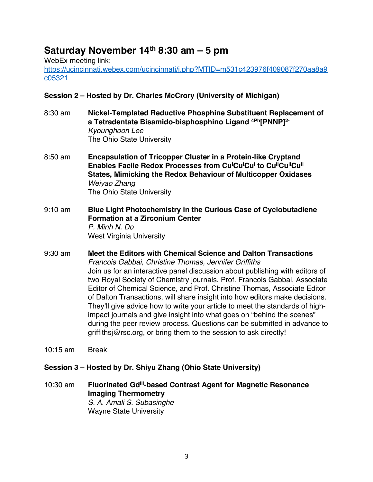## **Saturday November 14th 8:30 am – 5 pm**

WebEx meeting link:

https://ucincinnati.webex.com/ucincinnati/j.php?MTID=m531c423976f409087f270aa8a9 c05321

#### **Session 2 – Hosted by Dr. Charles McCrory (University of Michigan)**

- 8:30 am **Nickel-Templated Reductive Phosphine Substituent Replacement of a Tetradentate Bisamido-bisphosphino Ligand 4Ph[PNNP]2-** *Kyounghoon Lee* The Ohio State University
- 8:50 am **Encapsulation of Tricopper Cluster in a Protein-like Cryptand Enables Facile Redox Processes from Cu<sup>I</sup>Cu<sup>I</sup>Cu<sup>I</sup> to Cu<sup>II</sup>Cu<sup>II</sup>Cu<sup>II</sup> States, Mimicking the Redox Behaviour of Multicopper Oxidases** *Weiyao Zhang* The Ohio State University
- 9:10 am **Blue Light Photochemistry in the Curious Case of Cyclobutadiene Formation at a Zirconium Center** *P. Minh N. Do* West Virginia University
- 9:30 am **Meet the Editors with Chemical Science and Dalton Transactions** *Francois Gabbai, Christine Thomas, Jennifer Griffiths* Join us for an interactive panel discussion about publishing with editors of two Royal Society of Chemistry journals. Prof. Francois Gabbai, Associate Editor of Chemical Science, and Prof. Christine Thomas, Associate Editor of Dalton Transactions, will share insight into how editors make decisions. They'll give advice how to write your article to meet the standards of highimpact journals and give insight into what goes on "behind the scenes" during the peer review process. Questions can be submitted in advance to griffithsj@rsc.org, or bring them to the session to ask directly!
- 10:15 am Break

#### **Session 3 – Hosted by Dr. Shiyu Zhang (Ohio State University)**

10:30 am **Fluorinated Gd<sup>III</sup>-based Contrast Agent for Magnetic Resonance Imaging Thermometry** *S. A. Amali S. Subasinghe* Wayne State University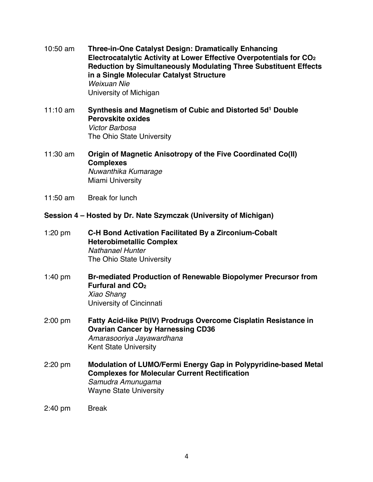- 10:50 am **Three-in-One Catalyst Design: Dramatically Enhancing Electrocatalytic Activity at Lower Effective Overpotentials for CO2 Reduction by Simultaneously Modulating Three Substituent Effects in a Single Molecular Catalyst Structure** *Weixuan Nie* University of Michigan
- 11:10 am **Synthesis and Magnetism of Cubic and Distorted 5d1 Double Perovskite oxides** *Victor Barbosa* The Ohio State University
- 11:30 am **Origin of Magnetic Anisotropy of the Five Coordinated Co(II) Complexes** *Nuwanthika Kumarage* Miami University
- 11:50 am Break for lunch

#### **Session 4 – Hosted by Dr. Nate Szymczak (University of Michigan)**

- 1:20 pm **C-H Bond Activation Facilitated By a Zirconium-Cobalt Heterobimetallic Complex** *Nathanael Hunter* The Ohio State University
- 1:40 pm **Br-mediated Production of Renewable Biopolymer Precursor from Furfural and CO2** *Xiao Shang* University of Cincinnati
- 2:00 pm **Fatty Acid-like Pt(IV) Prodrugs Overcome Cisplatin Resistance in Ovarian Cancer by Harnessing CD36** *Amarasooriya Jayawardhana* Kent State University
- 2:20 pm **Modulation of LUMO/Fermi Energy Gap in Polypyridine-based Metal Complexes for Molecular Current Rectification** *Samudra Amunugama* Wayne State University
- 2:40 pm Break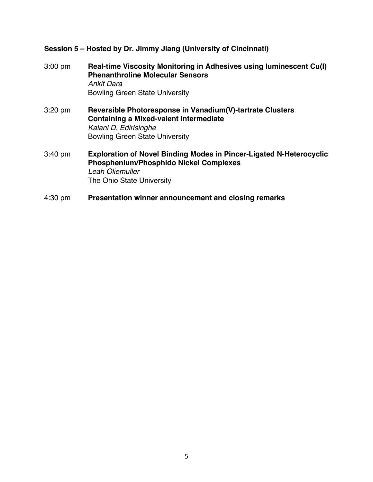#### **Session 5 – Hosted by Dr. Jimmy Jiang (University of Cincinnati)**

- 3:00 pm **Real-time Viscosity Monitoring in Adhesives using Iuminescent Cu(I) Phenanthroline Molecular Sensors** *Ankit Dara* Bowling Green State University
- 3:20 pm **Reversible Photoresponse in Vanadium(V)-tartrate Clusters Containing a Mixed-valent Intermediate** *Kalani D. Edirisinghe* Bowling Green State University
- 3:40 pm **Exploration of Novel Binding Modes in Pincer-Ligated N-Heterocyclic Phosphenium/Phosphido Nickel Complexes** *Leah Oliemuller* The Ohio State University
- 4:30 pm **Presentation winner announcement and closing remarks**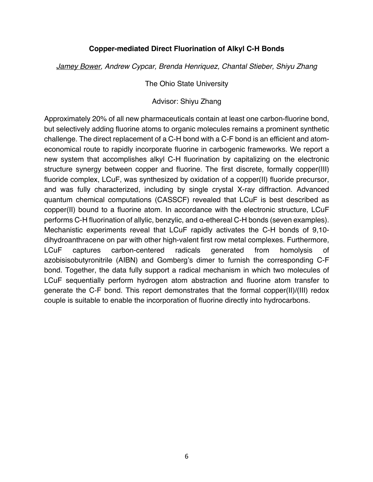#### **Copper-mediated Direct Fluorination of Alkyl C-H Bonds**

*Jamey Bower, Andrew Cypcar, Brenda Henriquez, Chantal Stieber, Shiyu Zhang*

The Ohio State University

#### Advisor: Shiyu Zhang

Approximately 20% of all new pharmaceuticals contain at least one carbon-fluorine bond, but selectively adding fluorine atoms to organic molecules remains a prominent synthetic challenge. The direct replacement of a C-H bond with a C-F bond is an efficient and atomeconomical route to rapidly incorporate fluorine in carbogenic frameworks. We report a new system that accomplishes alkyl C-H fluorination by capitalizing on the electronic structure synergy between copper and fluorine. The first discrete, formally copper(III) fluoride complex, LCuF, was synthesized by oxidation of a copper(II) fluoride precursor, and was fully characterized, including by single crystal X-ray diffraction. Advanced quantum chemical computations (CASSCF) revealed that LCuF is best described as copper(II) bound to a fluorine atom. In accordance with the electronic structure, LCuF performs C-H fluorination of allylic, benzylic, and α-ethereal C-H bonds (seven examples). Mechanistic experiments reveal that LCuF rapidly activates the C-H bonds of 9,10 dihydroanthracene on par with other high-valent first row metal complexes. Furthermore, LCuF captures carbon-centered radicals generated from homolysis of azobisisobutyronitrile (AIBN) and Gomberg's dimer to furnish the corresponding C-F bond. Together, the data fully support a radical mechanism in which two molecules of LCuF sequentially perform hydrogen atom abstraction and fluorine atom transfer to generate the C-F bond. This report demonstrates that the formal copper(II)/(III) redox couple is suitable to enable the incorporation of fluorine directly into hydrocarbons.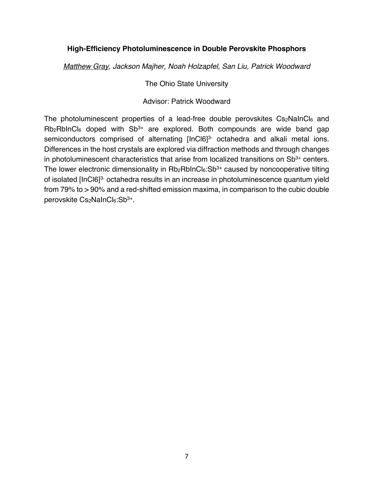#### **High-Efficiency Photoluminescence in Double Perovskite Phosphors**

*Matthew Gray, Jackson Majher, Noah Holzapfel, San Liu, Patrick Woodward*

The Ohio State University

Advisor: Patrick Woodward

The photoluminescent properties of a lead-free double perovskites  $Cs<sub>2</sub>NalnCl<sub>6</sub>$  and Rb<sub>2</sub>RbInCl<sub>6</sub> doped with Sb<sup>3+</sup> are explored. Both compounds are wide band gap semiconductors comprised of alternating [InCl6]<sup>3-</sup> octahedra and alkali metal ions. Differences in the host crystals are explored via diffraction methods and through changes in photoluminescent characteristics that arise from localized transitions on  $Sb<sup>3+</sup>$  centers. The lower electronic dimensionality in  $Rb_2RbInCl<sub>6</sub>:Sb<sup>3+</sup>$  caused by noncooperative tilting of isolated [InCl6]3- octahedra results in an increase in photoluminescence quantum yield from 79% to > 90% and a red-shifted emission maxima, in comparison to the cubic double perovskite Cs2NaInCl6:Sb<sup>3+</sup>.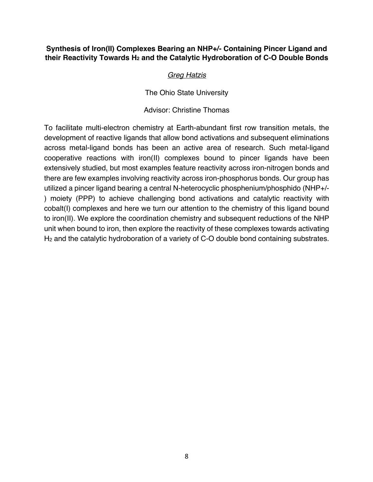#### **Synthesis of Iron(II) Complexes Bearing an NHP+/- Containing Pincer Ligand and**  their Reactivity Towards H<sub>2</sub> and the Catalytic Hydroboration of C-O Double Bonds

#### *Greg Hatzis*

The Ohio State University

#### Advisor: Christine Thomas

To facilitate multi-electron chemistry at Earth-abundant first row transition metals, the development of reactive ligands that allow bond activations and subsequent eliminations across metal-ligand bonds has been an active area of research. Such metal-ligand cooperative reactions with iron(II) complexes bound to pincer ligands have been extensively studied, but most examples feature reactivity across iron-nitrogen bonds and there are few examples involving reactivity across iron-phosphorus bonds. Our group has utilized a pincer ligand bearing a central N-heterocyclic phosphenium/phosphido (NHP+/- ) moiety (PPP) to achieve challenging bond activations and catalytic reactivity with cobalt(I) complexes and here we turn our attention to the chemistry of this ligand bound to iron(II). We explore the coordination chemistry and subsequent reductions of the NHP unit when bound to iron, then explore the reactivity of these complexes towards activating H2 and the catalytic hydroboration of a variety of C-O double bond containing substrates.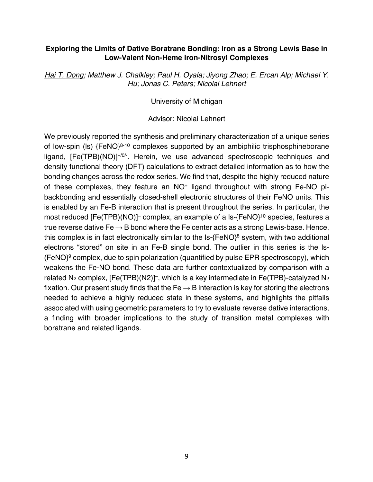#### **Exploring the Limits of Dative Boratrane Bonding: Iron as a Strong Lewis Base in Low-Valent Non-Heme Iron-Nitrosyl Complexes**

*Hai T. Dong; Matthew J. Chalkley; Paul H. Oyala; Jiyong Zhao; E. Ercan Alp; Michael Y. Hu; Jonas C. Peters; Nicolai Lehnert*

University of Michigan

Advisor: Nicolai Lehnert

We previously reported the synthesis and preliminary characterization of a unique series of low-spin (ls) {FeNO}<sup>8-10</sup> complexes supported by an ambiphilic trisphosphineborane ligand, [Fe(TPB)(NO)]<sup>+/0/-</sup>. Herein, we use advanced spectroscopic techniques and density functional theory (DFT) calculations to extract detailed information as to how the bonding changes across the redox series. We find that, despite the highly reduced nature of these complexes, they feature an NO+ ligand throughout with strong Fe-NO pibackbonding and essentially closed-shell electronic structures of their FeNO units. This is enabled by an Fe-B interaction that is present throughout the series. In particular, the most reduced [Fe(TPB)(NO)]– complex, an example of a ls-{FeNO}10 species, features a true reverse dative  $Fe \rightarrow B$  bond where the Fe center acts as a strong Lewis-base. Hence, this complex is in fact electronically similar to the ls-{FeNO}8 system, with two additional electrons "stored" on site in an Fe-B single bond. The outlier in this series is the ls-  ${FenO}^9$  complex, due to spin polarization (quantified by pulse EPR spectroscopy), which weakens the Fe-NO bond. These data are further contextualized by comparison with a related  $N_2$  complex,  $[Fe(TPB)(N2)]^-$ , which is a key intermediate in Fe(TPB)-catalyzed  $N_2$ fixation. Our present study finds that the  $Fe \rightarrow B$  interaction is key for storing the electrons needed to achieve a highly reduced state in these systems, and highlights the pitfalls associated with using geometric parameters to try to evaluate reverse dative interactions, a finding with broader implications to the study of transition metal complexes with boratrane and related ligands.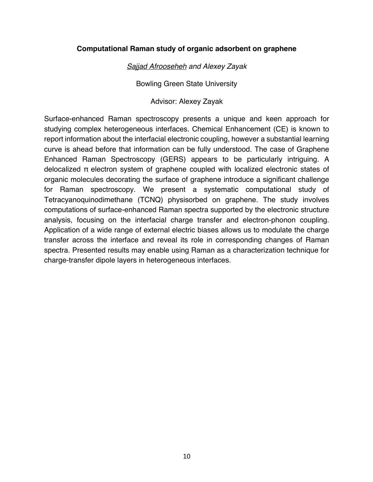#### **Computational Raman study of organic adsorbent on graphene**

*Sajjad Afrooseheh and Alexey Zayak*

Bowling Green State University

Advisor: Alexey Zayak

Surface-enhanced Raman spectroscopy presents a unique and keen approach for studying complex heterogeneous interfaces. Chemical Enhancement (CE) is known to report information about the interfacial electronic coupling, however a substantial learning curve is ahead before that information can be fully understood. The case of Graphene Enhanced Raman Spectroscopy (GERS) appears to be particularly intriguing. A delocalized π electron system of graphene coupled with localized electronic states of organic molecules decorating the surface of graphene introduce a significant challenge for Raman spectroscopy. We present a systematic computational study of Tetracyanoquinodimethane (TCNQ) physisorbed on graphene. The study involves computations of surface-enhanced Raman spectra supported by the electronic structure analysis, focusing on the interfacial charge transfer and electron-phonon coupling. Application of a wide range of external electric biases allows us to modulate the charge transfer across the interface and reveal its role in corresponding changes of Raman spectra. Presented results may enable using Raman as a characterization technique for charge-transfer dipole layers in heterogeneous interfaces.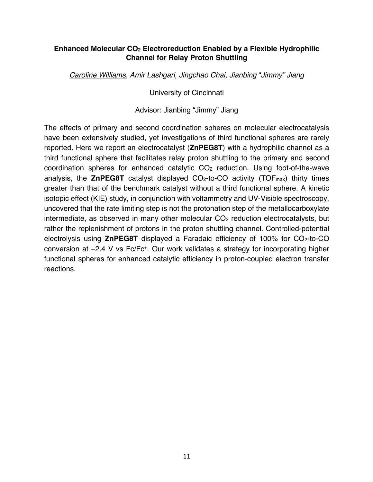#### **Enhanced Molecular CO2 Electroreduction Enabled by a Flexible Hydrophilic Channel for Relay Proton Shuttling**

*Caroline Williams, Amir Lashgari, Jingchao Chai, Jianbing* "*Jimmy" Jiang*

University of Cincinnati

Advisor: Jianbing "Jimmy" Jiang

The effects of primary and second coordination spheres on molecular electrocatalysis have been extensively studied, yet investigations of third functional spheres are rarely reported. Here we report an electrocatalyst (**ZnPEG8T**) with a hydrophilic channel as a third functional sphere that facilitates relay proton shuttling to the primary and second coordination spheres for enhanced catalytic CO2 reduction. Using foot-of-the-wave analysis, the **ZnPEG8T** catalyst displayed CO2-to-CO activity (TOFmax) thirty times greater than that of the benchmark catalyst without a third functional sphere. A kinetic isotopic effect (KIE) study, in conjunction with voltammetry and UV-Visible spectroscopy, uncovered that the rate limiting step is not the protonation step of the metallocarboxylate  $intermediate, as observed in many other molecular CO<sub>2</sub> reduction electrocatalysts, but$ rather the replenishment of protons in the proton shuttling channel. Controlled-potential electrolysis using **ZnPEG8T** displayed a Faradaic efficiency of 100% for CO2-to-CO conversion at –2.4 V vs Fc/Fc+. Our work validates a strategy for incorporating higher functional spheres for enhanced catalytic efficiency in proton-coupled electron transfer reactions.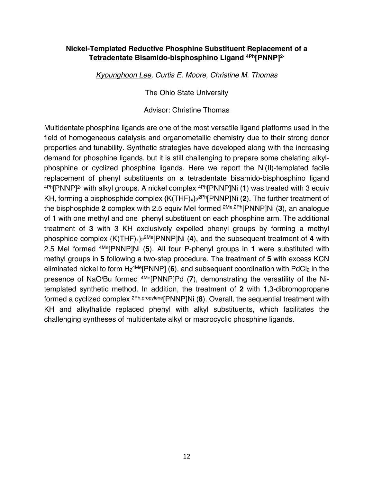#### **Nickel-Templated Reductive Phosphine Substituent Replacement of a Tetradentate Bisamido-bisphosphino Ligand 4Ph[PNNP]2-**

*Kyounghoon Lee, Curtis E. Moore, Christine M. Thomas*

The Ohio State University

Advisor: Christine Thomas

Multidentate phosphine ligands are one of the most versatile ligand platforms used in the field of homogeneous catalysis and organometallic chemistry due to their strong donor properties and tunability. Synthetic strategies have developed along with the increasing demand for phosphine ligands, but it is still challenging to prepare some chelating alkylphosphine or cyclized phosphine ligands. Here we report the Ni(II)-templated facile replacement of phenyl substituents on a tetradentate bisamido-bisphosphino ligand 4Ph[PNNP]2- with alkyl groups. A nickel complex 4Ph[PNNP]Ni (**1**) was treated with 3 equiv KH, forming a bisphosphide complex {K(THF)x}22Ph[PNNP]Ni (**2**). The further treatment of the bisphosphide **2** complex with 2.5 equiv MeI formed 2Me,2Ph[PNNP]Ni (**3**), an analogue of **1** with one methyl and one phenyl substituent on each phosphine arm. The additional treatment of **3** with 3 KH exclusively expelled phenyl groups by forming a methyl phosphide complex {K(THF)x}22Me[PNNP]Ni (**4**), and the subsequent treatment of **4** with 2.5 MeI formed 4Me[PNNP]Ni (**5**). All four P-phenyl groups in **1** were substituted with methyl groups in **5** following a two-step procedure. The treatment of **5** with excess KCN eliminated nickel to form  $H_2$ <sup>4Me</sup>[PNNP] (6), and subsequent coordination with PdCl<sub>2</sub> in the presence of NaO*<sup>t</sup>* Bu formed 4Me[PNNP]Pd (**7**), demonstrating the versatility of the Nitemplated synthetic method. In addition, the treatment of **2** with 1,3-dibromopropane formed a cyclized complex 2Ph,propylene[PNNP]Ni (**8**). Overall, the sequential treatment with KH and alkylhalide replaced phenyl with alkyl substituents, which facilitates the challenging syntheses of multidentate alkyl or macrocyclic phosphine ligands.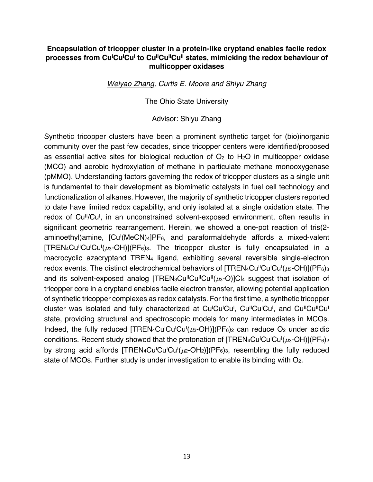#### **Encapsulation of tricopper cluster in a protein-like cryptand enables facile redox**  processes from Cu<sup>i</sup>Cu<sup>i</sup>Cu<sup>i</sup> to Cu<sup>ii</sup>Cu<sup>ii</sup>Cu<sup>ii</sup> states, mimicking the redox behaviour of **multicopper oxidases**

*Weiyao Zhang, Curtis E. Moore and Shiyu Zhang*

The Ohio State University

Advisor: Shiyu Zhang

Synthetic tricopper clusters have been a prominent synthetic target for (bio)inorganic community over the past few decades, since tricopper centers were identified/proposed as essential active sites for biological reduction of  $O<sub>2</sub>$  to H<sub>2</sub>O in multicopper oxidase (MCO) and aerobic hydroxylation of methane in particulate methane monooxygenase (pMMO). Understanding factors governing the redox of tricopper clusters as a single unit is fundamental to their development as biomimetic catalysts in fuel cell technology and functionalization of alkanes. However, the majority of synthetic tricopper clusters reported to date have limited redox capability, and only isolated at a single oxidation state. The redox of Cu<sup>ll</sup>/Cu<sup>l</sup>, in an unconstrained solvent-exposed environment, often results in significant geometric rearrangement. Herein, we showed a one-pot reaction of tris(2 aminoethyl)amine, [Cu<sup>i</sup>(MeCN)<sub>4</sub>]PF<sub>6</sub>, and paraformaldehyde affords a mixed-valent  $[{\sf TREN}_4{\sf Cu}^{\sf II}{\sf Cu}^{\sf I}{\sf Cu}^{\sf I}(\mu_3{\sf -OH})](P{\sf F}_6)$ <sup>3</sup>. The tricopper cluster is fully encapsulated in a macrocyclic azacryptand TREN4 ligand, exhibiting several reversible single-electron redox events. The distinct electrochemical behaviors of [TREN<sub>4</sub>Cu<sup>il</sup>Cu<sup>i</sup>Cu<sup>l</sup>( $\mu$ <sub>3</sub>-OH)](PF<sub>6</sub>)<sub>3</sub> and its solvent-exposed analog  $ITREN_3Cu^ICu^ICu^ICu^I(L_3-O)C_4$  suggest that isolation of tricopper core in a cryptand enables facile electron transfer, allowing potential application of synthetic tricopper complexes as redox catalysts. For the first time, a synthetic tricopper cluster was isolated and fully characterized at Cu<sup>i</sup>Cu<sup>i</sup>Cu<sup>i</sup>, Cu<sup>ii</sup>Cu<sup>i</sup>Cu<sup>i</sup>, and Cu<sup>ii</sup>Cu<sup>i</sup>Cu<sup>i</sup> state, providing structural and spectroscopic models for many intermediates in MCOs. Indeed, the fully reduced  $[TREN_4Cu^{\dagger}Cu^{\dagger}Cu^{\dagger}( \mu_3-OH)](PF_6)_2$  can reduce O<sub>2</sub> under acidic conditions. Recent study showed that the protonation of [TREN<sub>4</sub>Cu<sup>I</sup>Cu<sup>I</sup>Cu<sup>I</sup>( $\mu$ 3-OH)](PF<sub>6</sub>)<sub>2</sub> by strong acid affords  $[TREN_4Cu^lCu^l(\mu_2-OH_2)](PF_6)$ <sub>3</sub>, resembling the fully reduced state of MCOs. Further study is under investigation to enable its binding with O2.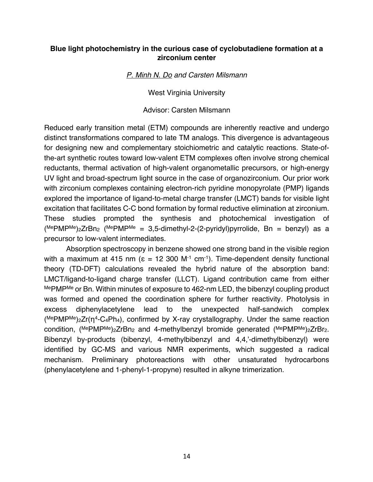#### **Blue light photochemistry in the curious case of cyclobutadiene formation at a zirconium center**

*P. Minh N. Do and Carsten Milsmann*

West Virginia University

Advisor: Carsten Milsmann

Reduced early transition metal (ETM) compounds are inherently reactive and undergo distinct transformations compared to late TM analogs. This divergence is advantageous for designing new and complementary stoichiometric and catalytic reactions. State-ofthe-art synthetic routes toward low-valent ETM complexes often involve strong chemical reductants, thermal activation of high-valent organometallic precursors, or high-energy UV light and broad-spectrum light source in the case of organozirconium. Our prior work with zirconium complexes containing electron-rich pyridine monopyrolate (PMP) ligands explored the importance of ligand-to-metal charge transfer (LMCT) bands for visible light excitation that facilitates C-C bond formation by formal reductive elimination at zirconium. These studies prompted the synthesis and photochemical investigation of  $(MepMPMe)_{2}ZrBn_{2}$  (MePMPMe = 3,5-dimethyl-2-(2-pyridyl)pyrrolide, Bn = benzyl) as a precursor to low-valent intermediates.

Absorption spectroscopy in benzene showed one strong band in the visible region with a maximum at 415 nm ( $\varepsilon = 12,300$  M<sup>-1</sup> cm<sup>-1</sup>). Time-dependent density functional theory (TD-DFT) calculations revealed the hybrid nature of the absorption band: LMCT/ligand-to-ligand charge transfer (LLCT). Ligand contribution came from either MePMP<sup>Me</sup> or Bn. Within minutes of exposure to 462-nm LED, the bibenzyl coupling product was formed and opened the coordination sphere for further reactivity. Photolysis in excess diphenylacetylene lead to the unexpected half-sandwich complex  $(MePMPMe)_{2}Zr(n^{4}-C_{4}Ph_{4})$ , confirmed by X-ray crystallography. Under the same reaction condition,  $(MePMPMe)_{2}ZrBn_{2}$  and 4-methylbenzyl bromide generated  $(MePMPMe)_{2}ZrBr_{2}$ . Bibenzyl by-products (bibenzyl, 4-methylbibenzyl and 4,4,'-dimethylbibenzyl) were identified by GC-MS and various NMR experiments, which suggested a radical mechanism. Preliminary photoreactions with other unsaturated hydrocarbons (phenylacetylene and 1-phenyl-1-propyne) resulted in alkyne trimerization.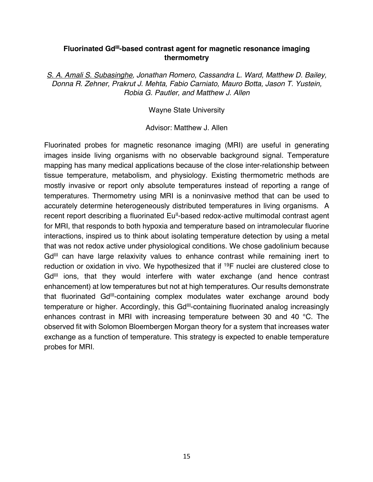#### Fluorinated Gd<sup>III</sup>-based contrast agent for magnetic resonance imaging **thermometry**

*S. A. Amali S. Subasinghe, Jonathan Romero, Cassandra L. Ward, Matthew D. Bailey, Donna R. Zehner, Prakrut J. Mehta, Fabio Carniato, Mauro Botta, Jason T. Yustein, Robia G. Pautler, and Matthew J. Allen*

Wayne State University

Advisor: Matthew J. Allen

Fluorinated probes for magnetic resonance imaging (MRI) are useful in generating images inside living organisms with no observable background signal. Temperature mapping has many medical applications because of the close inter-relationship between tissue temperature, metabolism, and physiology. Existing thermometric methods are mostly invasive or report only absolute temperatures instead of reporting a range of temperatures. Thermometry using MRI is a noninvasive method that can be used to accurately determine heterogeneously distributed temperatures in living organisms. A recent report describing a fluorinated Eu<sup>il</sup>-based redox-active multimodal contrast agent for MRI, that responds to both hypoxia and temperature based on intramolecular fluorine interactions, inspired us to think about isolating temperature detection by using a metal that was not redox active under physiological conditions. We chose gadolinium because Gd<sup>III</sup> can have large relaxivity values to enhance contrast while remaining inert to reduction or oxidation in vivo. We hypothesized that if 19F nuclei are clustered close to Gd<sup>III</sup> ions, that they would interfere with water exchange (and hence contrast enhancement) at low temperatures but not at high temperatures. Our results demonstrate that fluorinated Gd<sup>III</sup>-containing complex modulates water exchange around body temperature or higher. Accordingly, this Gd<sup>III</sup>-containing fluorinated analog increasingly enhances contrast in MRI with increasing temperature between 30 and 40 °C. The observed fit with Solomon Bloembergen Morgan theory for a system that increases water exchange as a function of temperature. This strategy is expected to enable temperature probes for MRI.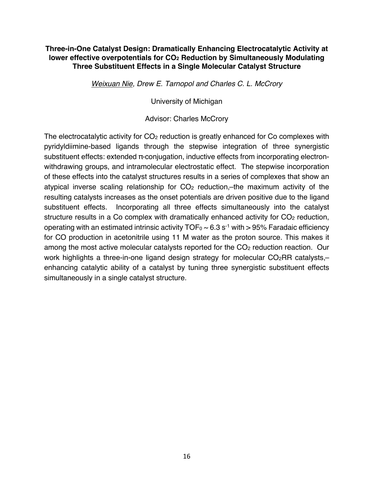#### **Three-in-One Catalyst Design: Dramatically Enhancing Electrocatalytic Activity at lower effective overpotentials for CO2 Reduction by Simultaneously Modulating Three Substituent Effects in a Single Molecular Catalyst Structure**

*Weixuan Nie, Drew E. Tarnopol and Charles C. L. McCrory*

University of Michigan

Advisor: Charles McCrory

The electrocatalytic activity for  $CO<sub>2</sub>$  reduction is greatly enhanced for  $Co$  complexes with pyridyldiimine-based ligands through the stepwise integration of three synergistic substituent effects: extended π-conjugation, inductive effects from incorporating electronwithdrawing groups, and intramolecular electrostatic effect. The stepwise incorporation of these effects into the catalyst structures results in a series of complexes that show an atypical inverse scaling relationship for  $CO<sub>2</sub>$  reduction,—the maximum activity of the resulting catalysts increases as the onset potentials are driven positive due to the ligand substituent effects. Incorporating all three effects simultaneously into the catalyst structure results in a Co complex with dramatically enhanced activity for  $CO<sub>2</sub>$  reduction, operating with an estimated intrinsic activity  $TOF_0 \sim 6.3 \text{ s}^{-1}$  with  $> 95\%$  Faradaic efficiency for CO production in acetonitrile using 11 M water as the proton source. This makes it among the most active molecular catalysts reported for the CO<sub>2</sub> reduction reaction. Our work highlights a three-in-one ligand design strategy for molecular  $CO<sub>2</sub>RR$  catalysts,enhancing catalytic ability of a catalyst by tuning three synergistic substituent effects simultaneously in a single catalyst structure.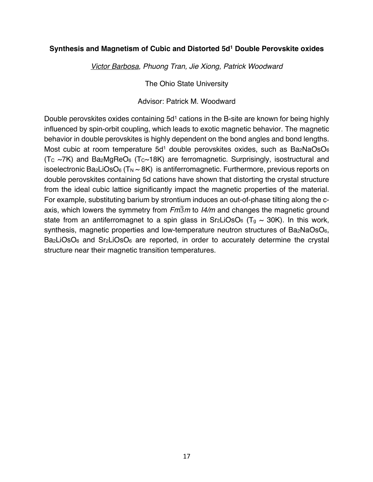#### **Synthesis and Magnetism of Cubic and Distorted 5d1 Double Perovskite oxides**

*Victor Barbosa, Phuong Tran, Jie Xiong, Patrick Woodward*

The Ohio State University

Advisor: Patrick M. Woodward

Double perovskites oxides containing 5d<sup>1</sup> cations in the B-site are known for being highly influenced by spin-orbit coupling, which leads to exotic magnetic behavior. The magnetic behavior in double perovskites is highly dependent on the bond angles and bond lengths. Most cubic at room temperature  $5d<sup>1</sup>$  double perovskites oxides, such as Ba<sub>2</sub>NaOsO<sub>6</sub>  $(T_c \sim 7K)$  and Ba<sub>2</sub>MgReO<sub>6</sub> (T<sub>c</sub> $\sim$ 18K) are ferromagnetic. Surprisingly, isostructural and isoelectronic Ba<sub>2</sub>LiOsO<sub>6</sub> (T<sub>N</sub>  $\sim$  8K) is antiferromagnetic. Furthermore, previous reports on double perovskites containing 5d cations have shown that distorting the crystal structure from the ideal cubic lattice significantly impact the magnetic properties of the material. For example, substituting barium by strontium induces an out-of-phase tilting along the caxis, which lowers the symmetry from  $Fm\overline{3}m$  to *I4/m* and changes the magnetic ground state from an antiferromagnet to a spin glass in  $Sr_2LiOSO_6$  (T<sub>g</sub> ~ 30K). In this work, synthesis, magnetic properties and low-temperature neutron structures of Ba<sub>2</sub>NaOsO<sub>6</sub>,  $Ba_2LiOSO_6$  and  $Sr_2LiOSO_6$  are reported, in order to accurately determine the crystal structure near their magnetic transition temperatures.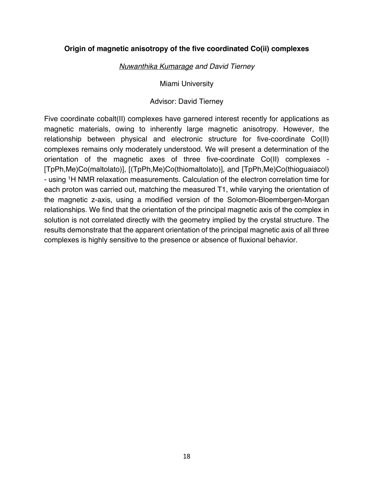#### **Origin of magnetic anisotropy of the five coordinated Co(ii) complexes**

*Nuwanthika Kumarage and David Tierney*

Miami University

#### Advisor: David Tierney

Five coordinate cobalt(II) complexes have garnered interest recently for applications as magnetic materials, owing to inherently large magnetic anisotropy. However, the relationship between physical and electronic structure for five-coordinate Co(II) complexes remains only moderately understood. We will present a determination of the orientation of the magnetic axes of three five-coordinate Co(II) complexes - [TpPh,Me)Co(maltolato)], [(TpPh,Me)Co(thiomaltolato)], and [TpPh,Me)Co(thioguaiacol) - using 1H NMR relaxation measurements. Calculation of the electron correlation time for each proton was carried out, matching the measured T1, while varying the orientation of the magnetic z-axis, using a modified version of the Solomon-Bloembergen-Morgan relationships. We find that the orientation of the principal magnetic axis of the complex in solution is not correlated directly with the geometry implied by the crystal structure. The results demonstrate that the apparent orientation of the principal magnetic axis of all three complexes is highly sensitive to the presence or absence of fluxional behavior.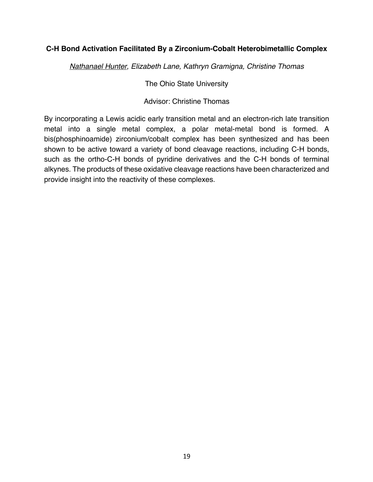#### **C-H Bond Activation Facilitated By a Zirconium-Cobalt Heterobimetallic Complex**

*Nathanael Hunter, Elizabeth Lane, Kathryn Gramigna, Christine Thomas*

The Ohio State University

Advisor: Christine Thomas

By incorporating a Lewis acidic early transition metal and an electron-rich late transition metal into a single metal complex, a polar metal-metal bond is formed. A bis(phosphinoamide) zirconium/cobalt complex has been synthesized and has been shown to be active toward a variety of bond cleavage reactions, including C-H bonds, such as the ortho-C-H bonds of pyridine derivatives and the C-H bonds of terminal alkynes. The products of these oxidative cleavage reactions have been characterized and provide insight into the reactivity of these complexes.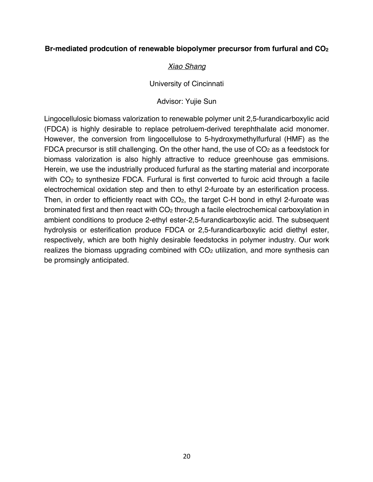#### **Br-mediated prodcution of renewable biopolymer precursor from furfural and CO2**

#### *Xiao Shang*

#### University of Cincinnati

#### Advisor: Yujie Sun

Lingocellulosic biomass valorization to renewable polymer unit 2,5-furandicarboxylic acid (FDCA) is highly desirable to replace petroluem-derived terephthalate acid monomer. However, the conversion from lingocellulose to 5-hydroxymethylfurfural (HMF) as the FDCA precursor is still challenging. On the other hand, the use of  $CO<sub>2</sub>$  as a feedstock for biomass valorization is also highly attractive to reduce greenhouse gas emmisions. Herein, we use the industrially produced furfural as the starting material and incorporate with CO<sub>2</sub> to synthesize FDCA. Furfural is first converted to furoic acid through a facile electrochemical oxidation step and then to ethyl 2-furoate by an esterification process. Then, in order to efficiently react with  $CO<sub>2</sub>$ , the target C-H bond in ethyl 2-furoate was brominated first and then react with  $CO<sub>2</sub>$  through a facile electrochemical carboxylation in ambient conditions to produce 2-ethyl ester-2,5-furandicarboxylic acid. The subsequent hydrolysis or esterification produce FDCA or 2,5-furandicarboxylic acid diethyl ester, respectively, which are both highly desirable feedstocks in polymer industry. Our work realizes the biomass upgrading combined with  $CO<sub>2</sub>$  utilization, and more synthesis can be promsingly anticipated.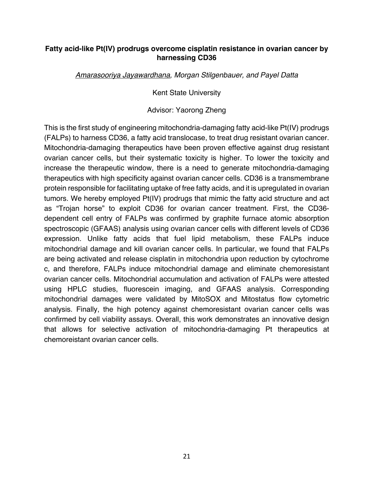#### **Fatty acid-like Pt(IV) prodrugs overcome cisplatin resistance in ovarian cancer by harnessing CD36**

*Amarasooriya Jayawardhana, Morgan Stilgenbauer, and Payel Datta*

Kent State University

Advisor: Yaorong Zheng

This is the first study of engineering mitochondria-damaging fatty acid-like Pt(IV) prodrugs (FALPs) to harness CD36, a fatty acid translocase, to treat drug resistant ovarian cancer. Mitochondria-damaging therapeutics have been proven effective against drug resistant ovarian cancer cells, but their systematic toxicity is higher. To lower the toxicity and increase the therapeutic window, there is a need to generate mitochondria-damaging therapeutics with high specificity against ovarian cancer cells. CD36 is a transmembrane protein responsible for facilitating uptake of free fatty acids, and it is upregulated in ovarian tumors. We hereby employed Pt(IV) prodrugs that mimic the fatty acid structure and act as "Trojan horse" to exploit CD36 for ovarian cancer treatment. First, the CD36 dependent cell entry of FALPs was confirmed by graphite furnace atomic absorption spectroscopic (GFAAS) analysis using ovarian cancer cells with different levels of CD36 expression. Unlike fatty acids that fuel lipid metabolism, these FALPs induce mitochondrial damage and kill ovarian cancer cells. In particular, we found that FALPs are being activated and release cisplatin in mitochondria upon reduction by cytochrome c, and therefore, FALPs induce mitochondrial damage and eliminate chemoresistant ovarian cancer cells. Mitochondrial accumulation and activation of FALPs were attested using HPLC studies, fluorescein imaging, and GFAAS analysis. Corresponding mitochondrial damages were validated by MitoSOX and Mitostatus flow cytometric analysis. Finally, the high potency against chemoresistant ovarian cancer cells was confirmed by cell viability assays. Overall, this work demonstrates an innovative design that allows for selective activation of mitochondria-damaging Pt therapeutics at chemoreistant ovarian cancer cells.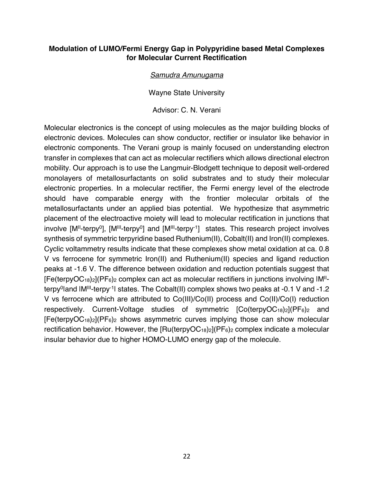#### **Modulation of LUMO/Fermi Energy Gap in Polypyridine based Metal Complexes for Molecular Current Rectification**

#### *Samudra Amunugama*

Wayne State University

Advisor: C. N. Verani

Molecular electronics is the concept of using molecules as the major building blocks of electronic devices. Molecules can show conductor, rectifier or insulator like behavior in electronic components. The Verani group is mainly focused on understanding electron transfer in complexes that can act as molecular rectifiers which allows directional electron mobility. Our approach is to use the Langmuir-Blodgett technique to deposit well-ordered monolayers of metallosurfactants on solid substrates and to study their molecular electronic properties. In a molecular rectifier, the Fermi energy level of the electrode should have comparable energy with the frontier molecular orbitals of the metallosurfactants under an applied bias potential. We hypothesize that asymmetric placement of the electroactive moiety will lead to molecular rectification in junctions that  $involve [M<sup>II</sup>-terpy<sup>0</sup>], [M<sup>III</sup>-terpy<sup>0</sup>]$  and  $[M<sup>III</sup>-terpy<sup>-1</sup>]$  states. This research project involves synthesis of symmetric terpyridine based Ruthenium(II), Cobalt(II) and Iron(II) complexes. Cyclic voltammetry results indicate that these complexes show metal oxidation at ca. 0.8 V vs ferrocene for symmetric Iron(II) and Ruthenium(II) species and ligand reduction peaks at -1.6 V. The difference between oxidation and reduction potentials suggest that  $[Fe(terpyOC<sub>18</sub>)<sub>2</sub>](PF<sub>6</sub>)<sub>2</sub>$  complex can act as molecular rectifiers in junctions involving  $IM<sup>II</sup>$ terpy<sup>0</sup> and IM<sup>III</sup>-terpy<sup>-1</sup> states. The Cobalt (II) complex shows two peaks at -0.1 V and -1.2 V vs ferrocene which are attributed to Co(III)/Co(II) process and Co(II)/Co(I) reduction respectively. Current-Voltage studies of symmetric [Co(terpyOC18)2](PF6)2 and  $[Fe(terpyOC<sub>18</sub>)<sub>2</sub>](PF<sub>6</sub>)<sub>2</sub>$  shows asymmetric curves implying those can show molecular rectification behavior. However, the  $[Ru(terpyOC_{18})_2](PF_6)_2$  complex indicate a molecular insular behavior due to higher HOMO-LUMO energy gap of the molecule.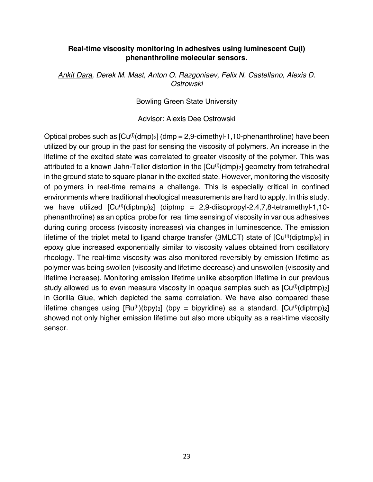#### **Real-time viscosity monitoring in adhesives using luminescent Cu(I) phenanthroline molecular sensors.**

*Ankit Dara, Derek M. Mast, Anton O. Razgoniaev, Felix N. Castellano, Alexis D. Ostrowski*

Bowling Green State University

Advisor: Alexis Dee Ostrowski

Optical probes such as  $[Cu^{(l)}(dmp)_2]$  (dmp = 2,9-dimethyl-1,10-phenanthroline) have been utilized by our group in the past for sensing the viscosity of polymers. An increase in the lifetime of the excited state was correlated to greater viscosity of the polymer. This was attributed to a known Jahn-Teller distortion in the  $[Cu^{(l)}(dmp)_2]$  geometry from tetrahedral in the ground state to square planar in the excited state. However, monitoring the viscosity of polymers in real-time remains a challenge. This is especially critical in confined environments where traditional rheological measurements are hard to apply. In this study, we have utilized  $[Cu^{(1)}(diptmp)_2]$  (diptmp = 2,9-diisopropyl-2,4,7,8-tetramethyl-1,10phenanthroline) as an optical probe for real time sensing of viscosity in various adhesives during curing process (viscosity increases) via changes in luminescence. The emission lifetime of the triplet metal to ligand charge transfer (3MLCT) state of  $\lceil Cu^{(l)}(diptmp)_{2} \rceil$  in epoxy glue increased exponentially similar to viscosity values obtained from oscillatory rheology. The real-time viscosity was also monitored reversibly by emission lifetime as polymer was being swollen (viscosity and lifetime decrease) and unswollen (viscosity and lifetime increase). Monitoring emission lifetime unlike absorption lifetime in our previous study allowed us to even measure viscosity in opaque samples such as  $[Cu^{(l)}(diptmp)<sub>2</sub>]$ in Gorilla Glue, which depicted the same correlation. We have also compared these lifetime changes using  $[Ru^{(II)}(bpy)_3]$  (bpy = bipyridine) as a standard.  $[Cu^{(I)}(diptmp)_2]$ showed not only higher emission lifetime but also more ubiquity as a real-time viscosity sensor.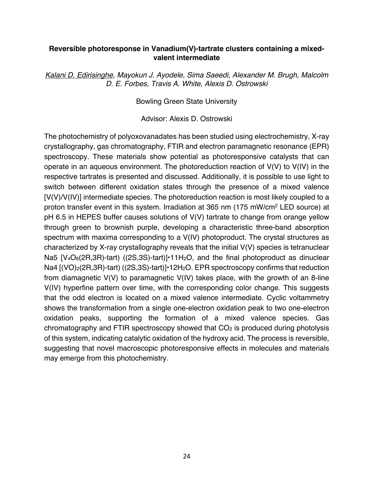#### **Reversible photoresponse in Vanadium(V)-tartrate clusters containing a mixedvalent intermediate**

*Kalani D. Edirisinghe, Mayokun J. Ayodele, Sima Saeedi, Alexander M. Brugh, Malcolm D. E. Forbes, Travis A. White, Alexis D. Ostrowski*

Bowling Green State University

Advisor: Alexis D. Ostrowski

The photochemistry of polyoxovanadates has been studied using electrochemistry, X-ray crystallography, gas chromatography, FTIR and electron paramagnetic resonance (EPR) spectroscopy. These materials show potential as photoresponsive catalysts that can operate in an aqueous environment. The photoreduction reaction of V(V) to V(IV) in the respective tartrates is presented and discussed. Additionally, it is possible to use light to switch between different oxidation states through the presence of a mixed valence [V(V)/V(IV)] intermediate species. The photoreduction reaction is most likely coupled to a proton transfer event in this system. Irradiation at 365 nm (175 mW/cm2 LED source) at pH 6.5 in HEPES buffer causes solutions of V(V) tartrate to change from orange yellow through green to brownish purple, developing a characteristic three-band absorption spectrum with maxima corresponding to a V(IV) photoproduct. The crystal structures as characterized by X-ray crystallography reveals that the initial V(V) species is tetranuclear Na5 [V<sub>4</sub>O<sub>8</sub>(2R,3R)-tart) ((2S,3S)-tart)]•11H<sub>2</sub>O, and the final photoproduct as dinuclear Na4  $[(VO)_2(2R,3R)-tart)$  ((2S,3S)-tart)] $\cdot$ 12H<sub>2</sub>O. EPR spectroscopy confirms that reduction from diamagnetic V(V) to paramagnetic V(IV) takes place, with the growth of an 8-line V(IV) hyperfine pattern over time, with the corresponding color change. This suggests that the odd electron is located on a mixed valence intermediate. Cyclic voltammetry shows the transformation from a single one-electron oxidation peak to two one-electron oxidation peaks, supporting the formation of a mixed valence species. Gas chromatography and FTIR spectroscopy showed that  $CO<sub>2</sub>$  is produced during photolysis of this system, indicating catalytic oxidation of the hydroxy acid. The process is reversible, suggesting that novel macroscopic photoresponsive effects in molecules and materials may emerge from this photochemistry.